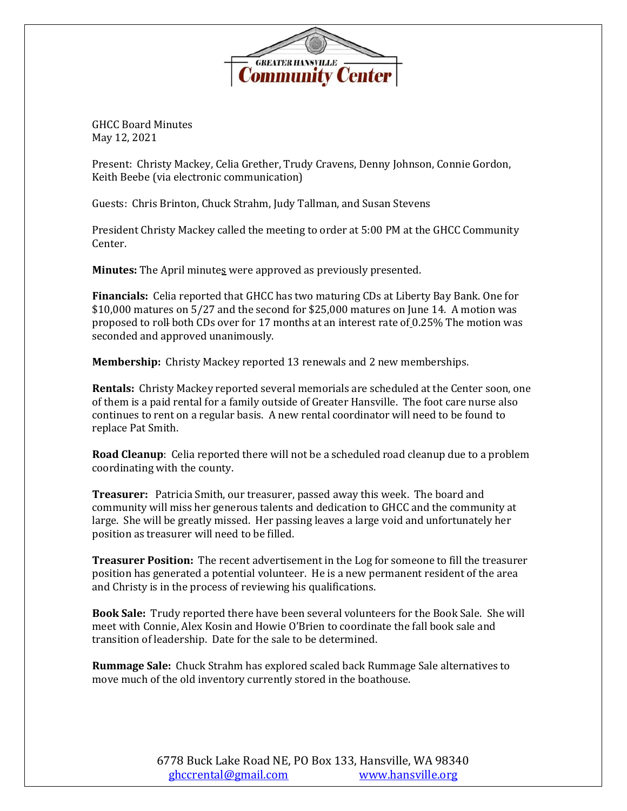

GHCC Board Minutes May 12, 2021

Present: Christy Mackey, Celia Grether, Trudy Cravens, Denny Johnson, Connie Gordon, Keith Beebe (via electronic communication)

Guests: Chris Brinton, Chuck Strahm, Judy Tallman, and Susan Stevens

President Christy Mackey called the meeting to order at 5:00 PM at the GHCC Community Center.

**Minutes:** The April minutes were approved as previously presented.

**Financials:** Celia reported that GHCC has two maturing CDs at Liberty Bay Bank. One for \$10,000 matures on 5/27 and the second for \$25,000 matures on June 14. A motion was proposed to roll both CDs over for 17 months at an interest rate of 0.25% The motion was seconded and approved unanimously.

**Membership:** Christy Mackey reported 13 renewals and 2 new memberships.

**Rentals:** Christy Mackey reported several memorials are scheduled at the Center soon, one of them is a paid rental for a family outside of Greater Hansville. The foot care nurse also continues to rent on a regular basis. A new rental coordinator will need to be found to replace Pat Smith.

**Road Cleanup**: Celia reported there will not be a scheduled road cleanup due to a problem coordinating with the county.

**Treasurer:** Patricia Smith, our treasurer, passed away this week. The board and community will miss her generous talents and dedication to GHCC and the community at large. She will be greatly missed. Her passing leaves a large void and unfortunately her position as treasurer will need to be filled.

**Treasurer Position:** The recent advertisement in the Log for someone to fill the treasurer position has generated a potential volunteer. He is a new permanent resident of the area and Christy is in the process of reviewing his qualifications.

**Book Sale:** Trudy reported there have been several volunteers for the Book Sale. She will meet with Connie, Alex Kosin and Howie O'Brien to coordinate the fall book sale and transition of leadership. Date for the sale to be determined.

**Rummage Sale:** Chuck Strahm has explored scaled back Rummage Sale alternatives to move much of the old inventory currently stored in the boathouse.